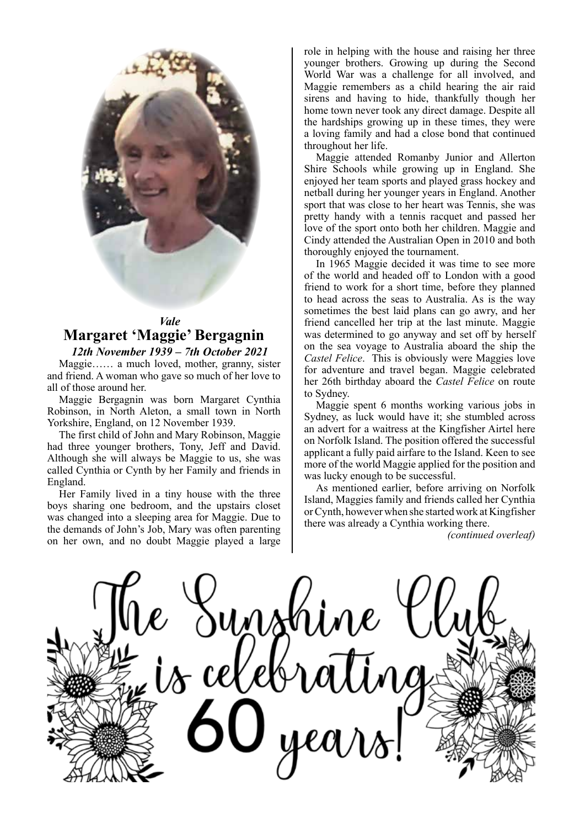

# *Vale* **Margaret 'Maggie' Bergagnin**

*12th November 1939 – 7th October 2021* Maggie…… a much loved, mother, granny, sister and friend. A woman who gave so much of her love to all of those around her.

Maggie Bergagnin was born Margaret Cynthia Robinson, in North Aleton, a small town in North Yorkshire, England, on 12 November 1939.

The first child of John and Mary Robinson, Maggie had three younger brothers, Tony, Jeff and David. Although she will always be Maggie to us, she was called Cynthia or Cynth by her Family and friends in England.

Her Family lived in a tiny house with the three boys sharing one bedroom, and the upstairs closet was changed into a sleeping area for Maggie. Due to the demands of John's Job, Mary was often parenting on her own, and no doubt Maggie played a large

role in helping with the house and raising her three younger brothers. Growing up during the Second World War was a challenge for all involved, and Maggie remembers as a child hearing the air raid sirens and having to hide, thankfully though her home town never took any direct damage. Despite all the hardships growing up in these times, they were a loving family and had a close bond that continued throughout her life.

Maggie attended Romanby Junior and Allerton Shire Schools while growing up in England. She enjoyed her team sports and played grass hockey and netball during her younger years in England. Another sport that was close to her heart was Tennis, she was pretty handy with a tennis racquet and passed her love of the sport onto both her children. Maggie and Cindy attended the Australian Open in 2010 and both thoroughly enjoyed the tournament.

In 1965 Maggie decided it was time to see more of the world and headed off to London with a good friend to work for a short time, before they planned to head across the seas to Australia. As is the way sometimes the best laid plans can go awry, and her friend cancelled her trip at the last minute. Maggie was determined to go anyway and set off by herself on the sea voyage to Australia aboard the ship the *Castel Felice*. This is obviously were Maggies love for adventure and travel began. Maggie celebrated her 26th birthday aboard the *Castel Felice* on route to Sydney.

Maggie spent 6 months working various jobs in Sydney, as luck would have it; she stumbled across an advert for a waitress at the Kingfisher Airtel here on Norfolk Island. The position offered the successful applicant a fully paid airfare to the Island. Keen to see more of the world Maggie applied for the position and was lucky enough to be successful.

As mentioned earlier, before arriving on Norfolk Island, Maggies family and friends called her Cynthia or Cynth, however when she started work at Kingfisher there was already a Cynthia working there.

*(continued overleaf)*

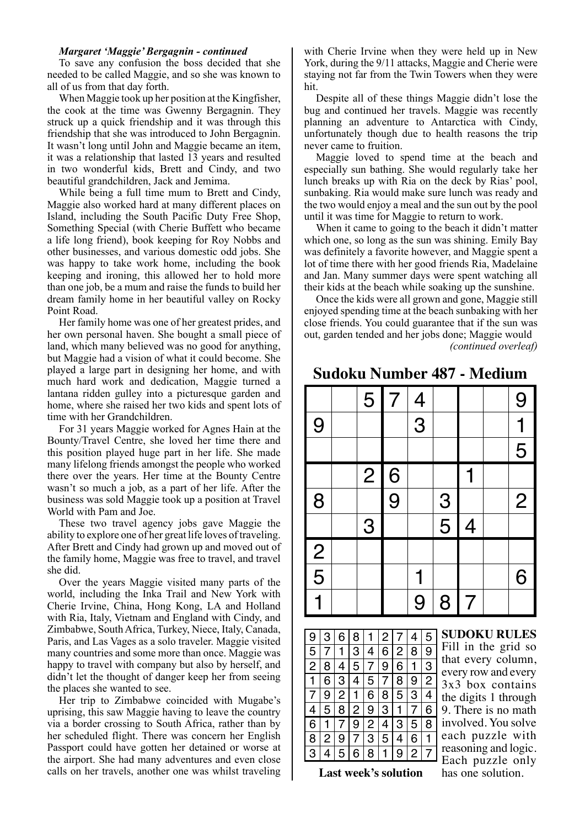#### *Margaret 'Maggie' Bergagnin - continued*

To save any confusion the boss decided that she needed to be called Maggie, and so she was known to all of us from that day forth.

When Maggie took up her position at the Kingfisher, the cook at the time was Gwenny Bergagnin. They struck up a quick friendship and it was through this friendship that she was introduced to John Bergagnin. It wasn't long until John and Maggie became an item, it was a relationship that lasted 13 years and resulted in two wonderful kids, Brett and Cindy, and two beautiful grandchildren, Jack and Jemima.

While being a full time mum to Brett and Cindy, Maggie also worked hard at many different places on Island, including the South Pacific Duty Free Shop, Something Special (with Cherie Buffett who became a life long friend), book keeping for Roy Nobbs and other businesses, and various domestic odd jobs. She was happy to take work home, including the book keeping and ironing, this allowed her to hold more than one job, be a mum and raise the funds to build her dream family home in her beautiful valley on Rocky Point Road.

Her family home was one of her greatest prides, and her own personal haven. She bought a small piece of land, which many believed was no good for anything, but Maggie had a vision of what it could become. She played a large part in designing her home, and with much hard work and dedication, Maggie turned a lantana ridden gulley into a picturesque garden and home, where she raised her two kids and spent lots of time with her Grandchildren.

For 31 years Maggie worked for Agnes Hain at the Bounty/Travel Centre, she loved her time there and this position played huge part in her life. She made many lifelong friends amongst the people who worked there over the years. Her time at the Bounty Centre wasn't so much a job, as a part of her life. After the business was sold Maggie took up a position at Travel World with Pam and Joe.

These two travel agency jobs gave Maggie the ability to explore one of her great life loves of traveling. After Brett and Cindy had grown up and moved out of the family home, Maggie was free to travel, and travel she did.

Over the years Maggie visited many parts of the world, including the Inka Trail and New York with Cherie Irvine, China, Hong Kong, LA and Holland with Ria, Italy, Vietnam and England with Cindy, and Zimbabwe, South Africa, Turkey, Niece, Italy, Canada, Paris, and Las Vages as a solo traveler. Maggie visited many countries and some more than once. Maggie was happy to travel with company but also by herself, and didn't let the thought of danger keep her from seeing the places she wanted to see.

Her trip to Zimbabwe coincided with Mugabe's uprising, this saw Maggie having to leave the country via a border crossing to South Africa, rather than by her scheduled flight. There was concern her English Passport could have gotten her detained or worse at the airport. She had many adventures and even close calls on her travels, another one was whilst traveling with Cherie Irvine when they were held up in New York, during the 9/11 attacks, Maggie and Cherie were staying not far from the Twin Towers when they were hit.

Despite all of these things Maggie didn't lose the bug and continued her travels. Maggie was recently planning an adventure to Antarctica with Cindy, unfortunately though due to health reasons the trip never came to fruition.

Maggie loved to spend time at the beach and especially sun bathing. She would regularly take her lunch breaks up with Ria on the deck by Rias' pool, sunbaking. Ria would make sure lunch was ready and the two would enjoy a meal and the sun out by the pool until it was time for Maggie to return to work.

When it came to going to the beach it didn't matter which one, so long as the sun was shining. Emily Bay was definitely a favorite however, and Maggie spent a lot of time there with her good friends Ria, Madelaine and Jan. Many summer days were spent watching all their kids at the beach while soaking up the sunshine.

Once the kids were all grown and gone, Maggie still enjoyed spending time at the beach sunbaking with her close friends. You could guarantee that if the sun was out, garden tended and her jobs done; Maggie would *(continued overleaf)*

## **Sudoku Number 487 - Medium**



| 9              | 3            | 6   | 8   | $\mathbf{1}$   | $\overline{2}$ | $\overline{7}$ | 4              | 5 |
|----------------|--------------|-----|-----|----------------|----------------|----------------|----------------|---|
| 5              |              | 1   | 3   | 4              | 6              | $\overline{2}$ | 8              | 9 |
| $\overline{2}$ | 8            | 4   | 5   | 7 <sup>1</sup> | 9              | 6 <sup>1</sup> | $\mathbf{1}$   | 3 |
| $\mathbf{1}$   | 6            | 3 4 |     | 5 <sup>1</sup> |                | 7 8            | 9              | 2 |
| $\overline{7}$ | 9            |     | 2 1 | 6              |                | 8 5            | 3              | 4 |
| 4              | 5            | 8 2 |     | 9 <sup>1</sup> | 3              | $\mathbf{1}$   | 7 <sup>1</sup> | 6 |
| 6              | $\mathbf{1}$ | 7 9 |     | 2              | 4              | $\overline{3}$ | 5              | 8 |
| 8              | 2            | 9   | 7   | 3              | 5 4            |                | 6              |   |
| 3              | 4            | 5   | 6   | 8              | $\mathbf{1}$   | 9              | 2              | 7 |

**SUDOKU RULES** Fill in the grid so that every column, every row and every 3x3 box contains the digits 1 through 9. There is no math involved. You solve each puzzle with reasoning and logic. Each puzzle only<br>has one solution.

**Last week's solution**